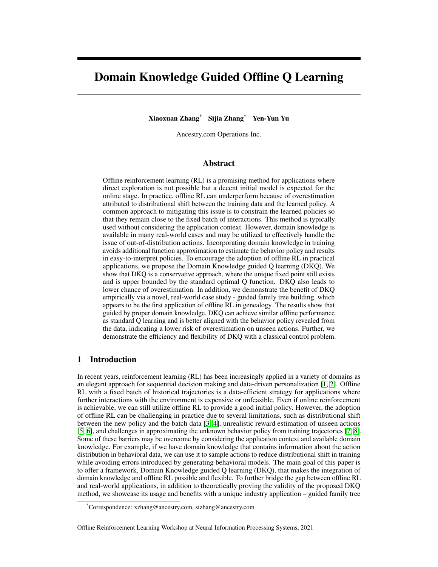# Domain Knowledge Guided Offline Q Learning

Xiaoxuan Zhang\* Sijia Zhang\* Yen-Yun Yu

Ancestry.com Operations Inc.

## Abstract

Offline reinforcement learning (RL) is a promising method for applications where direct exploration is not possible but a decent initial model is expected for the online stage. In practice, offline RL can underperform because of overestimation attributed to distributional shift between the training data and the learned policy. A common approach to mitigating this issue is to constrain the learned policies so that they remain close to the fixed batch of interactions. This method is typically used without considering the application context. However, domain knowledge is available in many real-world cases and may be utilized to effectively handle the issue of out-of-distribution actions. Incorporating domain knowledge in training avoids additional function approximation to estimate the behavior policy and results in easy-to-interpret policies. To encourage the adoption of offline RL in practical applications, we propose the Domain Knowledge guided Q learning (DKQ). We show that DKQ is a conservative approach, where the unique fixed point still exists and is upper bounded by the standard optimal Q function. DKQ also leads to lower chance of overestimation. In addition, we demonstrate the benefit of DKQ empirically via a novel, real-world case study - guided family tree building, which appears to be the first application of offline RL in genealogy. The results show that guided by proper domain knowledge, DKQ can achieve similar offline performance as standard Q learning and is better aligned with the behavior policy revealed from the data, indicating a lower risk of overestimation on unseen actions. Further, we demonstrate the efficiency and flexibility of DKQ with a classical control problem.

## 1 Introduction

In recent years, reinforcement learning (RL) has been increasingly applied in a variety of domains as an elegant approach for sequential decision making and data-driven personalization [\[1,](#page-8-0) [2\]](#page-8-1). Offline RL with a fixed batch of historical trajectories is a data-efficient strategy for applications where further interactions with the environment is expensive or unfeasible. Even if online reinforcement is achievable, we can still utilize offline RL to provide a good initial policy. However, the adoption of offline RL can be challenging in practice due to several limitations, such as distributional shift between the new policy and the batch data [\[3,](#page-8-2) [4\]](#page-8-3), unrealistic reward estimation of unseen actions [\[5,](#page-8-4) [6\]](#page-8-5), and challenges in approximating the unknown behavior policy from training trajectories [\[7,](#page-8-6) [8\]](#page-8-7). Some of these barriers may be overcome by considering the application context and available domain knowledge. For example, if we have domain knowledge that contains information about the action distribution in behavioral data, we can use it to sample actions to reduce distributional shift in training while avoiding errors introduced by generating behavioral models. The main goal of this paper is to offer a framework, Domain Knowledge guided Q learning (DKQ), that makes the integration of domain knowledge and offline RL possible and flexible. To further bridge the gap between offline RL and real-world applications, in addition to theoretically proving the validity of the proposed DKQ method, we showcase its usage and benefits with a unique industry application – guided family tree

Offline Reinforcement Learning Workshop at Neural Information Processing Systems, 2021

<sup>\*</sup>Correspondence: xzhang@ancestry.com, sizhang@ancestry.com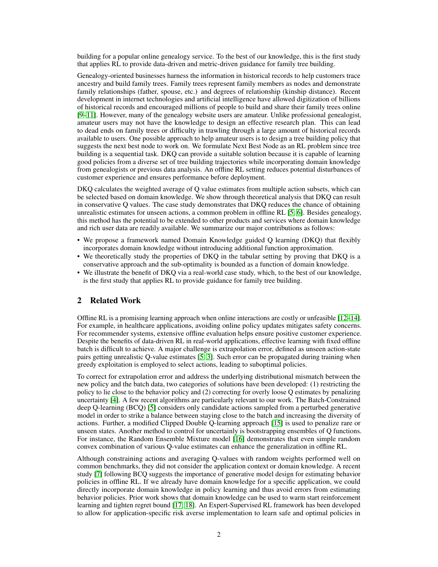building for a popular online genealogy service. To the best of our knowledge, this is the first study that applies RL to provide data-driven and metric-driven guidance for family tree building.

Genealogy-oriented businesses harness the information in historical records to help customers trace ancestry and build family trees. Family trees represent family members as nodes and demonstrate family relationships (father, spouse, etc.) and degrees of relationship (kinship distance). Recent development in internet technologies and artificial intelligence have allowed digitization of billions of historical records and encouraged millions of people to build and share their family trees online [\[9](#page-8-8)[–11\]](#page-8-9). However, many of the genealogy website users are amateur. Unlike professional genealogist, amateur users may not have the knowledge to design an effective research plan. This can lead to dead ends on family trees or difficulty in trawling through a large amount of historical records available to users. One possible approach to help amateur users is to design a tree building policy that suggests the next best node to work on. We formulate Next Best Node as an RL problem since tree building is a sequential task. DKQ can provide a suitable solution because it is capable of learning good policies from a diverse set of tree building trajectories while incorporating domain knowledge from genealogists or previous data analysis. An offline RL setting reduces potential disturbances of customer experience and ensures performance before deployment.

DKQ calculates the weighted average of Q value estimates from multiple action subsets, which can be selected based on domain knowledge. We show through theoretical analysis that DKQ can result in conservative Q values. The case study demonstrates that DKQ reduces the chance of obtaining unrealistic estimates for unseen actions, a common problem in offline RL [\[5,](#page-8-4) [6\]](#page-8-5). Besides genealogy, this method has the potential to be extended to other products and services where domain knowledge and rich user data are readily available. We summarize our major contributions as follows:

- We propose a framework named Domain Knowledge guided Q learning (DKQ) that flexibly incorporates domain knowledge without introducing additional function approximation.
- We theoretically study the properties of DKQ in the tabular setting by proving that DKQ is a conservative approach and the sub-optimality is bounded as a function of domain knowledge.
- We illustrate the benefit of DKQ via a real-world case study, which, to the best of our knowledge, is the first study that applies RL to provide guidance for family tree building.

## <span id="page-1-0"></span>2 Related Work

Offline RL is a promising learning approach when online interactions are costly or unfeasible [\[12](#page-8-10)[–14\]](#page-8-11). For example, in healthcare applications, avoiding online policy updates mitigates safety concerns. For recommender systems, extensive offline evaluation helps ensure positive customer experience. Despite the benefits of data-driven RL in real-world applications, effective learning with fixed offline batch is difficult to achieve. A major challenge is extrapolation error, defined as unseen action-state pairs getting unrealistic Q-value estimates [\[5,](#page-8-4) [3\]](#page-8-2). Such error can be propagated during training when greedy exploitation is employed to select actions, leading to suboptimal policies.

To correct for extrapolation error and address the underlying distributional mismatch between the new policy and the batch data, two categories of solutions have been developed: (1) restricting the policy to lie close to the behavior policy and (2) correcting for overly loose Q estimates by penalizing uncertainty [\[4\]](#page-8-3). A few recent algorithms are particularly relevant to our work. The Batch-Constrained deep Q-learning (BCQ) [\[5\]](#page-8-4) considers only candidate actions sampled from a perturbed generative model in order to strike a balance between staying close to the batch and increasing the diversity of actions. Further, a modified Clipped Double Q-learning approach [\[15\]](#page-8-12) is used to penalize rare or unseen states. Another method to control for uncertainly is bootstrapping ensembles of Q functions. For instance, the Random Ensemble Mixture model [\[16\]](#page-8-13) demonstrates that even simple random convex combination of various Q-value estimates can enhance the generalization in offline RL.

Although constraining actions and averaging Q-values with random weights performed well on common benchmarks, they did not consider the application context or domain knowledge. A recent study [\[7\]](#page-8-6) following BCQ suggests the importance of generative model design for estimating behavior policies in offline RL. If we already have domain knowledge for a specific application, we could directly incorporate domain knowledge in policy learning and thus avoid errors from estimating behavior policies. Prior work shows that domain knowledge can be used to warm start reinforcement learning and tighten regret bound [\[17,](#page-8-14) [18\]](#page-9-0). An Expert-Supervised RL framework has been developed to allow for application-specific risk averse implementation to learn safe and optimal policies in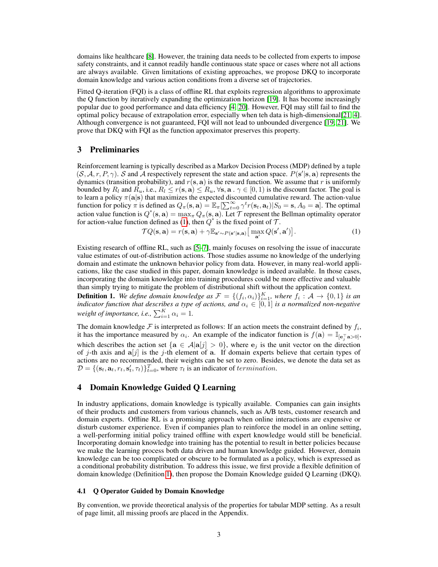domains like healthcare [\[8\]](#page-8-7). However, the training data needs to be collected from experts to impose safety constraints, and it cannot readily handle continuous state space or cases where not all actions are always available. Given limitations of existing approaches, we propose DKQ to incorporate domain knowledge and various action conditions from a diverse set of trajectories.

Fitted Q-iteration (FQI) is a class of offline RL that exploits regression algorithms to approximate the Q function by iteratively expanding the optimization horizon [\[19\]](#page-9-1). It has become increasingly popular due to good performance and data efficiency [\[4,](#page-8-3) [20\]](#page-9-2). However, FQI may still fail to find the optimal policy because of extrapolation error, especially when teh data is high-dimensional[\[21,](#page-9-3) [4\]](#page-8-3). Although convergence is not guaranteed, FQI will not lead to unbounded divergence [\[19,](#page-9-1) [21\]](#page-9-3). We prove that DKQ with FQI as the function appoximator preserves this property.

# 3 Preliminaries

Reinforcement learning is typically described as a Markov Decision Process (MDP) defined by a tuple  $(S, \mathcal{A}, r, P, \gamma)$ . S and A respectively represent the state and action space.  $P(s' | s, a)$  represents the dynamics (transition probability), and  $r(s, a)$  is the reward function. We assume that r is uniformly bounded by  $R_l$  and  $R_u$ , i.e.,  $R_l \le r(s, a) \le R_u$ ,  $\forall s, a \cdot \gamma \in [0, 1)$  is the discount factor. The goal is to learn a policy  $\pi(a|s)$  that maximizes the expected discounted cumulative reward. The action-value function for policy  $\pi$  is defined as  $Q_{\pi}(\mathbf{s}, \mathbf{a}) = \mathbb{E}_{\pi}[\sum_{t=0}^{\infty} \gamma^t r(\mathbf{s}_t, \mathbf{a}_t) | S_0 = \mathbf{s}, A_0 = \mathbf{a}]$ . The optimal action value function is  $Q^*(\mathbf{s},\mathbf{a}) = \max_{\pi} Q_{\pi}(\mathbf{s},\mathbf{a})$ . Let  $\mathcal T$  represent the Bellman optimality operator for action-value function defined as [\(1\)](#page-2-0), then  $Q^*$  is the fixed point of  $\mathcal{T}$ .

<span id="page-2-0"></span>
$$
\mathcal{T}Q(\mathbf{s}, \mathbf{a}) = r(\mathbf{s}, \mathbf{a}) + \gamma \mathbb{E}_{\mathbf{s}' \sim P(\mathbf{s}'|\mathbf{s}, \mathbf{a})} \left[ \max_{\mathbf{a}'} Q(\mathbf{s}', \mathbf{a}') \right]. \tag{1}
$$

Existing research of offline RL, such as [\[5–](#page-8-4)[7\]](#page-8-6), mainly focuses on resolving the issue of inaccurate value estimates of out-of-distribution actions. Those studies assume no knowledge of the underlying domain and estimate the unknown behavior policy from data. However, in many real-world applications, like the case studied in this paper, domain knowledge is indeed available. In those cases, incorporating the domain knowledge into training procedures could be more effective and valuable than simply trying to mitigate the problem of distributional shift without the application context.

<span id="page-2-1"></span>**Definition 1.** We define domain knowledge as  $\mathcal{F} = \{(f_i, \alpha_i)\}_{i=1}^K$ , where  $f_i : \mathcal{A} \to \{0,1\}$  is an *indicator function that describes a type of actions, and*  $\alpha_i \in [0,1]$  *is a normalized non-negative* weight of importance, i.e.,  $\sum_{i=1}^{K} \alpha_i = 1$ .

The domain knowledge  $\mathcal F$  is interpreted as follows: If an action meets the constraint defined by  $f_i$ , it has the importance measured by  $\alpha_i$ . An example of the indicator function is  $f(\mathbf{a}) = \mathbb{I}_{[\mathbf{e}_j^T \mathbf{a} > 0]},$ which describes the action set { $\mathbf{a} \in \mathcal{A}|\mathbf{a}[j] > 0$ }, where  $\mathbf{e}_j$  is the unit vector on the direction of j-th axis and  $a[j]$  is the j-th element of a. If domain experts believe that certain types of actions are no recommended, their weights can be set to zero. Besides, we denote the data set as  $D = \{(\mathbf{s}_t, \mathbf{a}_t, r_t, \mathbf{s}'_t, \tau_t)\}_{t=0}^T$ , where  $\tau_t$  is an indicator of termination.

## 4 Domain Knowledge Guided Q Learning

In industry applications, domain knowledge is typically available. Companies can gain insights of their products and customers from various channels, such as A/B tests, customer research and domain experts. Offline RL is a promising approach when online interactions are expensive or disturb customer experience. Even if companies plan to reinforce the model in an online setting, a well-performing initial policy trained offline with expert knowledge would still be beneficial. Incorporating domain knowledge into training has the potential to result in better policies because we make the learning process both data driven and human knowledge guided. However, domain knowledge can be too complicated or obscure to be formulated as a policy, which is expressed as a conditional probability distribution. To address this issue, we first provide a flexible definition of domain knowledge (Definition [1\)](#page-2-1), then propose the Domain Knowledge guided Q Learning (DKQ).

#### 4.1 Q Operator Guided by Domain Knowledge

By convention, we provide theoretical analysis of the properties for tabular MDP setting. As a result of page limit, all missing proofs are placed in the Appendix.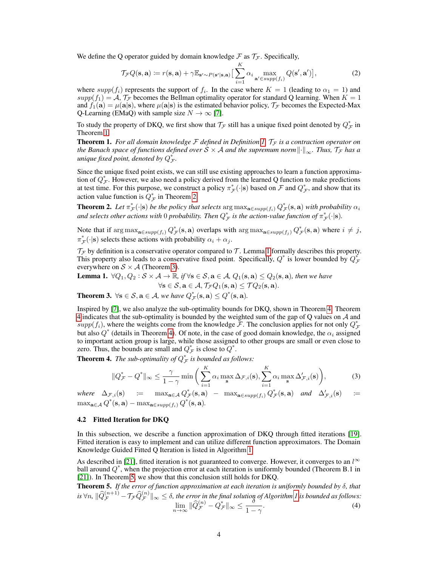We define the Q operator guided by domain knowledge  $\mathcal F$  as  $\mathcal T_{\mathcal F}$ . Specifically,

$$
\mathcal{T}_{\mathcal{F}}Q(\mathbf{s}, \mathbf{a}) \coloneqq r(\mathbf{s}, \mathbf{a}) + \gamma \mathbb{E}_{\mathbf{s}' \sim P(\mathbf{s}'|\mathbf{s}, \mathbf{a})} \Big[ \sum_{i=1}^{K} \alpha_i \max_{\mathbf{a}' \in \text{supp}(f_i)} Q(\mathbf{s}', \mathbf{a}') \Big],\tag{2}
$$

where  $supp(f_i)$  represents the support of  $f_i$ . In the case where  $K = 1$  (leading to  $\alpha_1 = 1$ ) and  $supp(f_1) = A$ ,  $\mathcal{T}_{\mathcal{F}}$  becomes the Bellman optimality operator for standard Q learning. When  $K = 1$ and  $f_1(\mathbf{a}) = \mu(\mathbf{a}|\mathbf{s})$ , where  $\mu(\mathbf{a}|\mathbf{s})$  is the estimated behavior policy,  $\mathcal{T}_{\mathcal{F}}$  becomes the Expected-Max Q-Learning (EMaQ) with sample size  $N \to \infty$  [\[7\]](#page-8-6).

To study the property of DKQ, we first show that  $\mathcal{T}_\mathcal{F}$  still has a unique fixed point denoted by  $Q^*_\mathcal{F}$  in Theorem [1.](#page-3-0)

<span id="page-3-0"></span>**Theorem 1.** For all domain knowledge  $\mathcal F$  defined in Definition [1,](#page-2-1)  $\mathcal T_{\mathcal F}$  is a contraction operator on *the Banach space of functions defined over*  $S \times A$  *and the supremum norm*  $\left\| \cdot \right\|_{\infty}$ *. Thus,*  $\tau$ *<sub>F</sub> has a* unique fixed point, denoted by  $Q_{\mathcal{F}}^*.$ 

Since the unique fixed point exists, we can still use existing approaches to learn a function approximation of  $Q_{\mathcal{F}}^*$ . However, we also need a policy derived from the learned Q function to make predictions at test time. For this purpose, we construct a policy  $\pi^*_{\mathcal{F}}(\cdot|s)$  based on  $\mathcal F$  and  $Q^*_{\mathcal{F}}$ , and show that its action value function is  $Q_{\mathcal{F}}^*$  in Theorem [2.](#page-3-1)

<span id="page-3-1"></span>**Theorem 2.** Let  $\pi^*_{\mathcal{F}}(\cdot | \mathbf{s})$  be the policy that selects  $\argmax_{\mathbf{a} \in supp(f_i)} Q^*_{\mathcal{F}}(\mathbf{s},\mathbf{a})$  with probability  $\alpha_i$ and selects other actions with  $0$  probability. Then  $Q^*_{\cal F}$  is the action-value function of  $\pi^*_{\cal F}(\cdot|\mathbf{s}).$ 

Note that if  $\arg \max_{\mathbf{a} \in \text{supp}(f_i)} Q^*_{\mathcal{F}}(\mathbf{s}, \mathbf{a})$  overlaps with  $\arg \max_{\mathbf{a} \in \text{supp}(f_j)} Q^*_{\mathcal{F}}(\mathbf{s}, \mathbf{a})$  where  $i \neq j$ ,  $\pi^*_{\mathcal{F}}(\cdot | \mathbf{s})$  selects these actions with probability  $\alpha_i + \alpha_j$ .

 $\mathcal{T}_F$  by definition is a conservative operator compared to  $\mathcal{T}$ . Lemma [1](#page-3-2) formally describes this property. This property also leads to a conservative fixed point. Specifically,  $Q^*$  is lower bounded by  $Q^*_{\mathcal{F}}$ everywhere on  $S \times A$  (Theorem [3\)](#page-3-3).

<span id="page-3-2"></span>**Lemma 1.**  $\forall Q_1, Q_2 : \mathcal{S} \times \mathcal{A} \rightarrow \mathbb{R}$ , if  $\forall s \in \mathcal{S}$ ,  $a \in \mathcal{A}$ ,  $Q_1(s, a) \leq Q_2(s, a)$ , then we have  $\forall$ **s**  $\in$   $\mathcal{S},$ **a**  $\in$   $\mathcal{A},$   $\mathcal{T}_{\mathcal{F}}Q_1$ **(s, a)**  $\leq$   $\mathcal{T}Q_2$ **(s, a)**.

<span id="page-3-3"></span>**Theorem 3.**  $\forall$ **s**  $\in$   $\mathcal{S},$ **a**  $\in$   $\mathcal{A}$ *, we have*  $Q_{\mathcal{F}}^{*}$  $(\mathbf{s}, \mathbf{a}) \leq Q^{*}$  $(\mathbf{s}, \mathbf{a})$ *.* 

Inspired by [\[7\]](#page-8-6), we also analyze the sub-optimality bounds for DKQ, shown in Theorem [4.](#page-3-4) Theorem [4](#page-3-4) indicates that the sub-optimality is bounded by the weighted sum of the gap of Q values on A and  $supp(f_i)$ , where the weights come from the knowledge  $\bar{\mathcal{F}}$ . The conclusion applies for not only  $Q_{\bar{\mathcal{F}}}^*$ but also  $Q^*$  (details in Theorem [4\)](#page-3-4). Of note, in the case of good domain knowledge, the  $\alpha_i$  assigned to important action group is large, while those assigned to other groups are small or even close to zero. Thus, the bounds are small and  $Q^*_{\mathcal{F}}$  is close to  $Q^*$ .

<span id="page-3-4"></span>**Theorem 4.** The sub-optimality of  $Q^*_{\mathcal{F}}$  is bounded as follows:

$$
||Q_{\mathcal{F}}^* - Q^*||_{\infty} \le \frac{\gamma}{1-\gamma} \min\bigg(\sum_{i=1}^K \alpha_i \max_{\mathbf{s}} \Delta_{\mathcal{F},i}(\mathbf{s}), \sum_{i=1}^K \alpha_i \max_{\mathbf{s}} \Delta_{\mathcal{F},i}'(\mathbf{s})\bigg),\tag{3}
$$

 $where \Delta_{\mathcal{F},i}(\mathbf{s}) \equiv \max_{\mathbf{a} \in \mathcal{A}} Q^*_{\mathcal{F}}(\mathbf{s}, \mathbf{a}) - \max_{\mathbf{a} \in supp(f_i)} Q^*_{\mathcal{F}}(\mathbf{s}, \mathbf{a}) \text{ and } \Delta'_{\mathcal{F},i}(\mathbf{s}) \equiv$  $\max_{\mathbf{a}\in\mathcal{A}}Q^*(\mathbf{s},\mathbf{a})-\max_{\mathbf{a}\in supp(f_i)}Q^*(\mathbf{s},\mathbf{a}).$ 

#### 4.2 Fitted Iteration for DKQ

In this subsection, we describe a function approximation of DKQ through fitted iterations [\[19\]](#page-9-1). Fitted iteration is easy to implement and can utilize different function approximators. The Domain Knowledge Guided Fitted Q Iteration is listed in Algorithm [1.](#page-4-0)

As described in [\[21\]](#page-9-3), fitted iteration is not guaranteed to converge. However, it converges to an  $l^{\infty}$ ball around  $Q^*$ , when the projection error at each iteration is uniformly bounded (Theorem B.1 in [\[21\]](#page-9-3)). In Theorem [5,](#page-3-5) we show that this conclusion still holds for DKQ.

<span id="page-3-5"></span>Theorem 5. *If the error of function approximation at each iteration is uniformly bounded by* δ*, that*  $\|R\widehat{Q}_{\mathcal{F}}^{(n+1)} - \mathcal{T}_{\mathcal{F}}\widehat{Q}_{\mathcal{F}}^{(n)}\|_\infty \leq \delta,$  the error in the final solution of Algorithm  $I$  is bounded as follows:  $\lim_{n\to\infty}$   $\|\widehat{Q}_{\mathcal{F}}^{(n)} - Q_{\mathcal{F}}^*\|_{\infty} \leq \frac{\delta}{1-\delta}$  $\frac{1}{1-\gamma}$ . (4)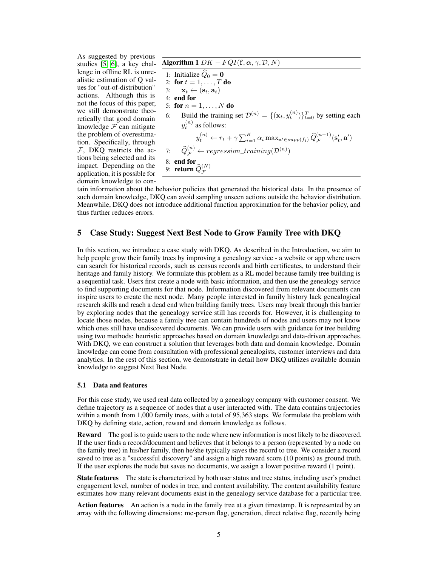As suggested by previous studies [\[5,](#page-8-4) [6\]](#page-8-5), a key challenge in offline RL is unrealistic estimation of Q values for "out-of-distribution" actions. Although this is not the focus of this paper, we still demonstrate theoretically that good domain knowledge  $F$  can mitigate the problem of overestimation. Specifically, through  $F$ , DKQ restricts the actions being selected and its impact. Depending on the application, it is possible for domain knowledge to con-

Algorithm 1  $DK-FQI(\mathbf{f}, \boldsymbol{\alpha}, \boldsymbol{\gamma}, \mathcal{D}, N)$ 

<span id="page-4-0"></span>1: Initialize  $\hat{Q}_0 = 0$ 2: for  $t = 1, \ldots, T$  do 3:  $\mathbf{x}_t \leftarrow (\mathbf{s}_t, \mathbf{a}_t)$ 4: end for 5: for  $n = 1, ..., N$  do 6: Build the training set  $\mathcal{D}^{(n)} = \{(\mathbf{x}_t, y_t^{(n)})\}_{t=0}^T$  by setting each  $y_t^{(n)}$  as follows:  $y_t^{(n)} \leftarrow r_t + \gamma \sum_{i=1}^K \alpha_i \max_{\mathbf{a}' \in supp(f_i)} \widehat{Q}_{\mathcal{F}}^{(n-1)}(\mathbf{s}'_t, \mathbf{a}')$ 7:  $\widehat{Q}_{\mathcal{F}}^{(n)} \leftarrow \text{regression\_training}(\mathcal{D}^{(n)})$ 8: **end for**<br>9: **return**  $\widehat{Q}_{\mathcal{F}}^{(N)}$ 

tain information about the behavior policies that generated the historical data. In the presence of such domain knowledge, DKQ can avoid sampling unseen actions outside the behavior distribution. Meanwhile, DKQ does not introduce additional function approximation for the behavior policy, and thus further reduces errors.

# 5 Case Study: Suggest Next Best Node to Grow Family Tree with DKQ

In this section, we introduce a case study with DKQ. As described in the Introduction, we aim to help people grow their family trees by improving a genealogy service - a website or app where users can search for historical records, such as census records and birth certificates, to understand their heritage and family history. We formulate this problem as a RL model because family tree building is a sequential task. Users first create a node with basic information, and then use the genealogy service to find supporting documents for that node. Information discovered from relevant documents can inspire users to create the next node. Many people interested in family history lack genealogical research skills and reach a dead end when building family trees. Users may break through this barrier by exploring nodes that the genealogy service still has records for. However, it is challenging to locate those nodes, because a family tree can contain hundreds of nodes and users may not know which ones still have undiscovered documents. We can provide users with guidance for tree building using two methods: heuristic approaches based on domain knowledge and data-driven approaches. With DKQ, we can construct a solution that leverages both data and domain knowledge. Domain knowledge can come from consultation with professional genealogists, customer interviews and data analytics. In the rest of this section, we demonstrate in detail how DKQ utilizes available domain knowledge to suggest Next Best Node.

## 5.1 Data and features

For this case study, we used real data collected by a genealogy company with customer consent. We define trajectory as a sequence of nodes that a user interacted with. The data contains trajectories within a month from 1,000 family trees, with a total of 95,363 steps. We formulate the problem with DKQ by defining state, action, reward and domain knowledge as follows.

**Reward** The goal is to guide users to the node where new information is most likely to be discovered. If the user finds a record/document and believes that it belongs to a person (represented by a node on the family tree) in his/her family, then he/she typically saves the record to tree. We consider a record saved to tree as a "successful discovery" and assign a high reward score (10 points) as ground truth. If the user explores the node but saves no documents, we assign a lower positive reward (1 point).

**State features** The state is characterized by both user status and tree status, including user's product engagement level, number of nodes in tree, and content availability. The content availability feature estimates how many relevant documents exist in the genealogy service database for a particular tree.

Action features An action is a node in the family tree at a given timestamp. It is represented by an array with the following dimensions: me-person flag, generation, direct relative flag, recently being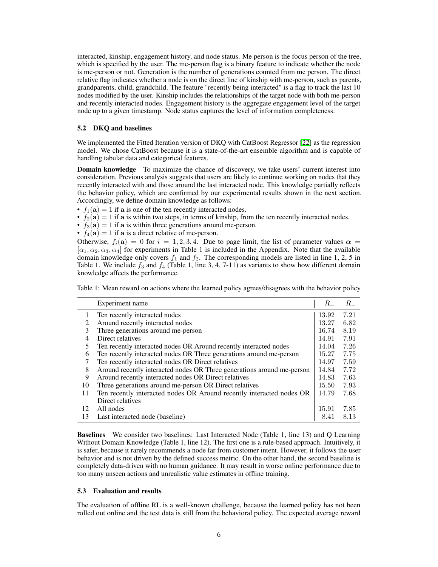interacted, kinship, engagement history, and node status. Me person is the focus person of the tree, which is specified by the user. The me-person flag is a binary feature to indicate whether the node is me-person or not. Generation is the number of generations counted from me person. The direct relative flag indicates whether a node is on the direct line of kinship with me-person, such as parents, grandparents, child, grandchild. The feature "recently being interacted" is a flag to track the last 10 nodes modified by the user. Kinship includes the relationships of the target node with both me-person and recently interacted nodes. Engagement history is the aggregate engagement level of the target node up to a given timestamp. Node status captures the level of information completeness.

#### 5.2 DKQ and baselines

We implemented the Fitted Iteration version of DKQ with CatBoost Regressor [\[22\]](#page-9-4) as the regression model. We chose CatBoost because it is a state-of-the-art ensemble algorithm and is capable of handling tabular data and categorical features.

Domain knowledge To maximize the chance of discovery, we take users' current interest into consideration. Previous analysis suggests that users are likely to continue working on nodes that they recently interacted with and those around the last interacted node. This knowledge partially reflects the behavior policy, which are confirmed by our experimental results shown in the next section. Accordingly, we define domain knowledge as follows:

- $f_1(\mathbf{a}) = 1$  if a is one of the ten recently interacted nodes.
- $f_2(\mathbf{a}) = 1$  if a is within two steps, in terms of kinship, from the ten recently interacted nodes.
- $f_3(\mathbf{a}) = 1$  if a is within three generations around me-person.
- $f_4(\mathbf{a}) = 1$  if  $\mathbf{a}$  is a direct relative of me-person.

Otherwise,  $f_i(\mathbf{a}) = 0$  for  $i = 1, 2, 3, 4$ . Due to page limit, the list of parameter values  $\alpha =$  $[\alpha_1, \alpha_2, \alpha_3, \alpha_4]$  for experiments in Table 1 is included in the Appendix. Note that the available domain knowledge only covers  $f_1$  and  $f_2$ . The corresponding models are listed in line 1, 2, 5 in Table 1. We include  $f_3$  and  $f_4$  (Table 1, line 3, 4, 7-11) as variants to show how different domain knowledge affects the performance.

Table 1: Mean reward on actions where the learned policy agrees/disagrees with the behavior policy

|    | Experiment name                                                        | $R_{+}$ | $R_{-}$ |
|----|------------------------------------------------------------------------|---------|---------|
|    | Ten recently interacted nodes                                          | 13.92   | 7.21    |
| 2  | Around recently interacted nodes                                       | 13.27   | 6.82    |
| 3  | Three generations around me-person                                     | 16.74   | 8.19    |
| 4  | Direct relatives                                                       | 14.91   | 7.91    |
| 5  | Ten recently interacted nodes OR Around recently interacted nodes      | 14.04   | 7.26    |
| 6  | Ten recently interacted nodes OR Three generations around me-person    | 15.27   | 7.75    |
| 7  | Ten recently interacted nodes OR Direct relatives                      | 14.97   | 7.59    |
| 8  | Around recently interacted nodes OR Three generations around me-person | 14.84   | 7.72    |
| 9  | Around recently interacted nodes OR Direct relatives                   | 14.83   | 7.63    |
| 10 | Three generations around me-person OR Direct relatives                 | 15.50   | 7.93    |
| 11 | Ten recently interacted nodes OR Around recently interacted nodes OR   | 14.79   | 7.68    |
|    | Direct relatives                                                       |         |         |
| 12 | All nodes                                                              | 15.91   | 7.85    |
| 13 | Last interacted node (baseline)                                        | 8.41    | 8.13    |

Baselines We consider two baselines: Last Interacted Node (Table 1, line 13) and Q Learning Without Domain Knowledge (Table 1, line 12). The first one is a rule-based approach. Intuitively, it is safer, because it rarely recommends a node far from customer intent. However, it follows the user behavior and is not driven by the defined success metric. On the other hand, the second baseline is completely data-driven with no human guidance. It may result in worse online performance due to too many unseen actions and unrealistic value estimates in offline training.

#### 5.3 Evaluation and results

The evaluation of offline RL is a well-known challenge, because the learned policy has not been rolled out online and the test data is still from the behavioral policy. The expected average reward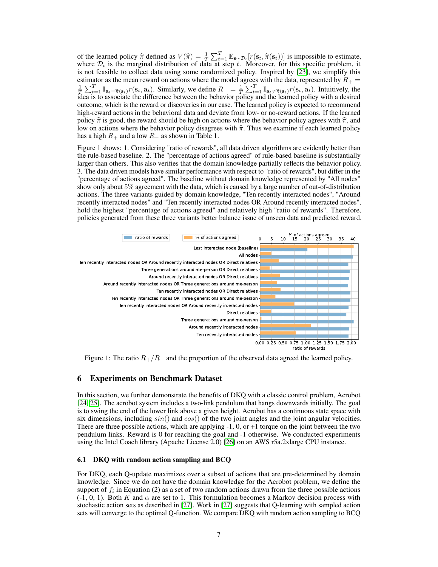of the learned policy  $\hat{\pi}$  defined as  $V(\hat{\pi}) = \frac{1}{T} \sum_{t=1}^{T} \mathbb{E}_{s \sim \mathcal{D}_t} [r(\mathbf{s}_t, \hat{\pi}(\mathbf{s}_t))]$  is impossible to estimate, where  $\mathcal{D}_t$  is the marginal distribution of data at step t. Moreover, for this speci is not feasible to collect data using some randomized policy. Inspired by [\[23\]](#page-9-5), we simplify this estimator as the mean reward on actions where the model agrees with the data, represented by  $R_{+}$  $\frac{1}{T} \sum_{t=1}^T \mathbb{I}_{\mathbf{a}_t = \widehat{\pi}(\mathbf{s}_t)} r(\mathbf{s}_t, \mathbf{a}_t)$ . Similarly, we define  $R_- = \frac{1}{T} \sum_{t=1}^T \mathbb{I}_{\mathbf{a}_t \neq \widehat{\pi}(\mathbf{s}_t)} r(\mathbf{s}_t, \mathbf{a}_t)$ . Intuitively, the idea is to associate the difference between the beha outcome, which is the reward or discoveries in our case. The learned policy is expected to recommend high-reward actions in the behavioral data and deviate from low- or no-reward actions. If the learned policy  $\hat{\pi}$  is good, the reward should be high on actions where the behavior policy agrees with  $\hat{\pi}$ , and low on actions where the behavior policy disagrees with  $\hat{\pi}$ . Thus we examine if each learned policy has a high  $R_+$  and a low  $R_-$  as shown in Table 1.

Figure 1 shows: 1. Considering "ratio of rewards", all data driven algorithms are evidently better than the rule-based baseline. 2. The "percentage of actions agreed" of rule-based baseline is substantially larger than others. This also verifies that the domain knowledge partially reflects the behavior policy. 3. The data driven models have similar performance with respect to "ratio of rewards", but differ in the "percentage of actions agreed". The baseline without domain knowledge represented by "All nodes" show only about 5% agreement with the data, which is caused by a large number of out-of-distribution actions. The three variants guided by domain knowledge, "Ten recently interacted nodes", "Around recently interacted nodes" and "Ten recently interacted nodes OR Around recently interacted nodes", hold the highest "percentage of actions agreed" and relatively high "ratio of rewards". Therefore, policies generated from these three variants better balance issue of unseen data and predicted reward.



Figure 1: The ratio  $R_{+}/R_{-}$  and the proportion of the observed data agreed the learned policy.

## 6 Experiments on Benchmark Dataset

In this section, we further demonstrate the benefits of DKQ with a classic control problem, Acrobot [\[24,](#page-9-6) [25\]](#page-9-7). The acrobot system includes a two-link pendulum that hangs downwards initially. The goal is to swing the end of the lower link above a given height. Acrobot has a continuous state space with six dimensions, including  $sin()$  and  $cos()$  of the two joint angles and the joint angular velocities. There are three possible actions, which are applying -1, 0, or +1 torque on the joint between the two pendulum links. Reward is 0 for reaching the goal and -1 otherwise. We conducted experiments using the Intel Coach library (Apache License 2.0) [\[26\]](#page-9-8) on an AWS r5a.2xlarge CPU instance.

#### 6.1 DKQ with random action sampling and BCQ

For DKQ, each Q-update maximizes over a subset of actions that are pre-determined by domain knowledge. Since we do not have the domain knowledge for the Acrobot problem, we define the support of  $f_i$  in Equation (2) as a set of two random actions drawn from the three possible actions (-1, 0, 1). Both K and  $\alpha$  are set to 1. This formulation becomes a Markov decision process with stochastic action sets as described in [\[27\]](#page-9-9). Work in [\[27\]](#page-9-9) suggests that Q-learning with sampled action sets will converge to the optimal Q-function. We compare DKQ with random action sampling to BCQ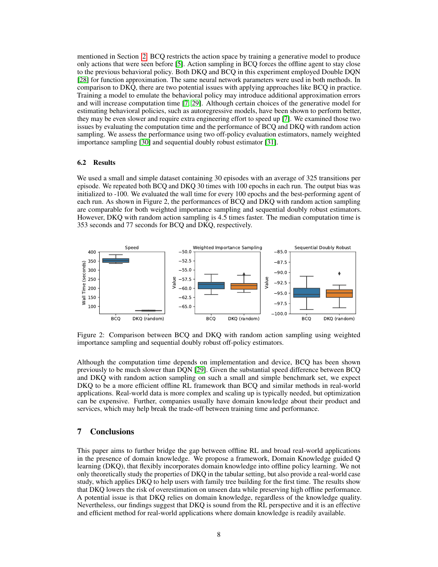mentioned in Section [2.](#page-1-0) BCQ restricts the action space by training a generative model to produce only actions that were seen before [\[5\]](#page-8-4). Action sampling in BCQ forces the offline agent to stay close to the previous behavioral policy. Both DKQ and BCQ in this experiment employed Double DQN [\[28\]](#page-9-10) for function approximation. The same neural network parameters were used in both methods. In comparison to DKQ, there are two potential issues with applying approaches like BCQ in practice. Training a model to emulate the behavioral policy may introduce additional approximation errors and will increase computation time [\[7,](#page-8-6) [29\]](#page-9-11). Although certain choices of the generative model for estimating behavioral policies, such as autoregressive models, have been shown to perform better, they may be even slower and require extra engineering effort to speed up [\[7\]](#page-8-6). We examined those two issues by evaluating the computation time and the performance of BCQ and DKQ with random action sampling. We assess the performance using two off-policy evaluation estimators, namely weighted importance sampling [\[30\]](#page-9-12) and sequential doubly robust estimator [\[31\]](#page-9-13).

#### 6.2 Results

We used a small and simple dataset containing 30 episodes with an average of 325 transitions per episode. We repeated both BCQ and DKQ 30 times with 100 epochs in each run. The output bias was initialized to -100. We evaluated the wall time for every 100 epochs and the best-performing agent of each run. As shown in Figure 2, the performances of BCQ and DKQ with random action sampling are comparable for both weighted importance sampling and sequential doubly robust estimators. However, DKQ with random action sampling is 4.5 times faster. The median computation time is 353 seconds and 77 seconds for BCQ and DKQ, respectively.



Figure 2: Comparison between BCQ and DKQ with random action sampling using weighted importance sampling and sequential doubly robust off-policy estimators.

Although the computation time depends on implementation and device, BCQ has been shown previously to be much slower than DQN [\[29\]](#page-9-11). Given the substantial speed difference between BCQ and DKQ with random action sampling on such a small and simple benchmark set, we expect DKQ to be a more efficient offline RL framework than BCQ and similar methods in real-world applications. Real-world data is more complex and scaling up is typically needed, but optimization can be expensive. Further, companies usually have domain knowledge about their product and services, which may help break the trade-off between training time and performance.

## 7 Conclusions

This paper aims to further bridge the gap between offline RL and broad real-world applications in the presence of domain knowledge. We propose a framework, Domain Knowledge guided Q learning (DKQ), that flexibly incorporates domain knowledge into offline policy learning. We not only theoretically study the properties of DKQ in the tabular setting, but also provide a real-world case study, which applies DKQ to help users with family tree building for the first time. The results show that DKQ lowers the risk of overestimation on unseen data while preserving high offline performance. A potential issue is that DKQ relies on domain knowledge, regardless of the knowledge quality. Nevertheless, our findings suggest that DKQ is sound from the RL perspective and it is an effective and efficient method for real-world applications where domain knowledge is readily available.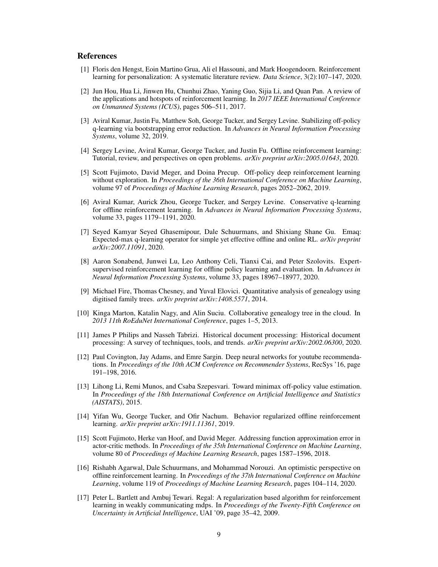# **References**

- <span id="page-8-0"></span>[1] Floris den Hengst, Eoin Martino Grua, Ali el Hassouni, and Mark Hoogendoorn. Reinforcement learning for personalization: A systematic literature review. *Data Science*, 3(2):107–147, 2020.
- <span id="page-8-1"></span>[2] Jun Hou, Hua Li, Jinwen Hu, Chunhui Zhao, Yaning Guo, Sijia Li, and Quan Pan. A review of the applications and hotspots of reinforcement learning. In *2017 IEEE International Conference on Unmanned Systems (ICUS)*, pages 506–511, 2017.
- <span id="page-8-2"></span>[3] Aviral Kumar, Justin Fu, Matthew Soh, George Tucker, and Sergey Levine. Stabilizing off-policy q-learning via bootstrapping error reduction. In *Advances in Neural Information Processing Systems*, volume 32, 2019.
- <span id="page-8-3"></span>[4] Sergey Levine, Aviral Kumar, George Tucker, and Justin Fu. Offline reinforcement learning: Tutorial, review, and perspectives on open problems. *arXiv preprint arXiv:2005.01643*, 2020.
- <span id="page-8-4"></span>[5] Scott Fujimoto, David Meger, and Doina Precup. Off-policy deep reinforcement learning without exploration. In *Proceedings of the 36th International Conference on Machine Learning*, volume 97 of *Proceedings of Machine Learning Research*, pages 2052–2062, 2019.
- <span id="page-8-5"></span>[6] Aviral Kumar, Aurick Zhou, George Tucker, and Sergey Levine. Conservative q-learning for offline reinforcement learning. In *Advances in Neural Information Processing Systems*, volume 33, pages 1179–1191, 2020.
- <span id="page-8-6"></span>[7] Seyed Kamyar Seyed Ghasemipour, Dale Schuurmans, and Shixiang Shane Gu. Emaq: Expected-max q-learning operator for simple yet effective offline and online RL. *arXiv preprint arXiv:2007.11091*, 2020.
- <span id="page-8-7"></span>[8] Aaron Sonabend, Junwei Lu, Leo Anthony Celi, Tianxi Cai, and Peter Szolovits. Expertsupervised reinforcement learning for offline policy learning and evaluation. In *Advances in Neural Information Processing Systems*, volume 33, pages 18967–18977, 2020.
- <span id="page-8-8"></span>[9] Michael Fire, Thomas Chesney, and Yuval Elovici. Quantitative analysis of genealogy using digitised family trees. *arXiv preprint arXiv:1408.5571*, 2014.
- [10] Kinga Marton, Katalin Nagy, and Alin Suciu. Collaborative genealogy tree in the cloud. In *2013 11th RoEduNet International Conference*, pages 1–5, 2013.
- <span id="page-8-9"></span>[11] James P Philips and Nasseh Tabrizi. Historical document processing: Historical document processing: A survey of techniques, tools, and trends. *arXiv preprint arXiv:2002.06300*, 2020.
- <span id="page-8-10"></span>[12] Paul Covington, Jay Adams, and Emre Sargin. Deep neural networks for youtube recommendations. In *Proceedings of the 10th ACM Conference on Recommender Systems*, RecSys '16, page 191–198, 2016.
- [13] Lihong Li, Remi Munos, and Csaba Szepesvari. Toward minimax off-policy value estimation. In *Proceedings of the 18th International Conference on Artificial Intelligence and Statistics (AISTATS)*, 2015.
- <span id="page-8-11"></span>[14] Yifan Wu, George Tucker, and Ofir Nachum. Behavior regularized offline reinforcement learning. *arXiv preprint arXiv:1911.11361*, 2019.
- <span id="page-8-12"></span>[15] Scott Fujimoto, Herke van Hoof, and David Meger. Addressing function approximation error in actor-critic methods. In *Proceedings of the 35th International Conference on Machine Learning*, volume 80 of *Proceedings of Machine Learning Research*, pages 1587–1596, 2018.
- <span id="page-8-13"></span>[16] Rishabh Agarwal, Dale Schuurmans, and Mohammad Norouzi. An optimistic perspective on offline reinforcement learning. In *Proceedings of the 37th International Conference on Machine Learning*, volume 119 of *Proceedings of Machine Learning Research*, pages 104–114, 2020.
- <span id="page-8-14"></span>[17] Peter L. Bartlett and Ambuj Tewari. Regal: A regularization based algorithm for reinforcement learning in weakly communicating mdps. In *Proceedings of the Twenty-Fifth Conference on Uncertainty in Artificial Intelligence*, UAI '09, page 35–42, 2009.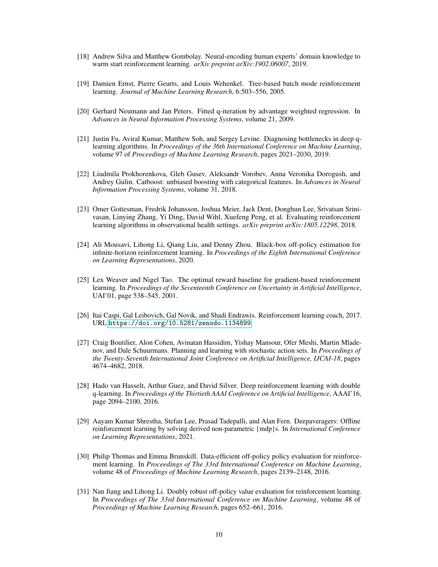- <span id="page-9-0"></span>[18] Andrew Silva and Matthew Gombolay. Neural-encoding human experts' domain knowledge to warm start reinforcement learning. *arXiv preprint arXiv:1902.06007*, 2019.
- <span id="page-9-1"></span>[19] Damien Ernst, Pierre Geurts, and Louis Wehenkel. Tree-based batch mode reinforcement learning. *Journal of Machine Learning Research*, 6:503–556, 2005.
- <span id="page-9-2"></span>[20] Gerhard Neumann and Jan Peters. Fitted q-iteration by advantage weighted regression. In *Advances in Neural Information Processing Systems*, volume 21, 2009.
- <span id="page-9-3"></span>[21] Justin Fu, Aviral Kumar, Matthew Soh, and Sergey Levine. Diagnosing bottlenecks in deep qlearning algorithms. In *Proceedings of the 36th International Conference on Machine Learning*, volume 97 of *Proceedings of Machine Learning Research*, pages 2021–2030, 2019.
- <span id="page-9-4"></span>[22] Liudmila Prokhorenkova, Gleb Gusev, Aleksandr Vorobev, Anna Veronika Dorogush, and Andrey Gulin. Catboost: unbiased boosting with categorical features. In *Advances in Neural Information Processing Systems*, volume 31, 2018.
- <span id="page-9-5"></span>[23] Omer Gottesman, Fredrik Johansson, Joshua Meier, Jack Dent, Donghun Lee, Srivatsan Srinivasan, Linying Zhang, Yi Ding, David Wihl, Xuefeng Peng, et al. Evaluating reinforcement learning algorithms in observational health settings. *arXiv preprint arXiv:1805.12298*, 2018.
- <span id="page-9-6"></span>[24] Ali Mousavi, Lihong Li, Qiang Liu, and Denny Zhou. Black-box off-policy estimation for infinite-horizon reinforcement learning. In *Proceedings of the Eighth International Conference on Learning Representations*, 2020.
- <span id="page-9-7"></span>[25] Lex Weaver and Nigel Tao. The optimal reward baseline for gradient-based reinforcement learning. In *Proceedings of the Seventeenth Conference on Uncertainty in Artificial Intelligence*, UAI'01, page 538–545, 2001.
- <span id="page-9-8"></span>[26] Itai Caspi, Gal Leibovich, Gal Novik, and Shadi Endrawis. Reinforcement learning coach, 2017. URL <https://doi.org/10.5281/zenodo.1134899>.
- <span id="page-9-9"></span>[27] Craig Boutilier, Alon Cohen, Avinatan Hassidim, Yishay Mansour, Ofer Meshi, Martin Mladenov, and Dale Schuurmans. Planning and learning with stochastic action sets. In *Proceedings of the Twenty-Seventh International Joint Conference on Artificial Intelligence, IJCAI-18*, pages 4674–4682, 2018.
- <span id="page-9-10"></span>[28] Hado van Hasselt, Arthur Guez, and David Silver. Deep reinforcement learning with double q-learning. In *Proceedings of the Thirtieth AAAI Conference on Artificial Intelligence*, AAAI'16, page 2094–2100, 2016.
- <span id="page-9-11"></span>[29] Aayam Kumar Shrestha, Stefan Lee, Prasad Tadepalli, and Alan Fern. Deepaveragers: Offline reinforcement learning by solving derived non-parametric {mdp}s. In *International Conference on Learning Representations*, 2021.
- <span id="page-9-12"></span>[30] Philip Thomas and Emma Brunskill. Data-efficient off-policy policy evaluation for reinforcement learning. In *Proceedings of The 33rd International Conference on Machine Learning*, volume 48 of *Proceedings of Machine Learning Research*, pages 2139–2148, 2016.
- <span id="page-9-13"></span>[31] Nan Jiang and Lihong Li. Doubly robust off-policy value evaluation for reinforcement learning. In *Proceedings of The 33rd International Conference on Machine Learning*, volume 48 of *Proceedings of Machine Learning Research*, pages 652–661, 2016.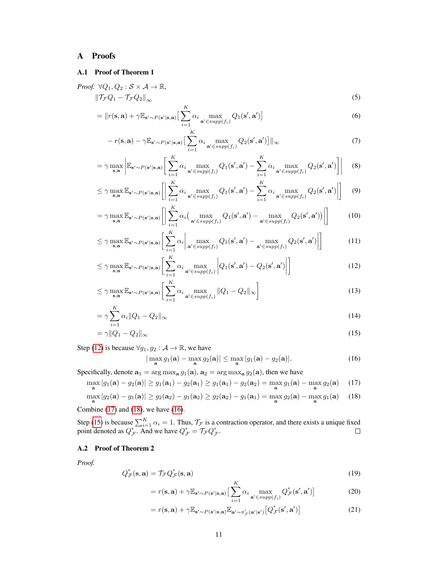# A Proofs

## A.1 Proof of Theorem 1

Proof. 
$$
\forall Q_1, Q_2 : \mathcal{S} \times \mathcal{A} \to \mathbb{R},
$$
  
\n
$$
\|\mathcal{T}_{\mathcal{F}}Q_1 - \mathcal{T}_{\mathcal{F}}Q_2\|_{\infty}
$$
\n(5)

$$
= ||r(\mathbf{s}, \mathbf{a}) + \gamma \mathbb{E}_{\mathbf{s}' \sim P(\mathbf{s}'|\mathbf{s}, \mathbf{a})} \left[ \sum_{i=1}^{K} \alpha_i \max_{\mathbf{a}' \in \text{supp}(f_i)} Q_1(\mathbf{s}', \mathbf{a}') \right]
$$
(6)

$$
-r(\mathbf{s}, \mathbf{a}) - \gamma \mathbb{E}_{\mathbf{s}' \sim P(\mathbf{s}'|\mathbf{s}, \mathbf{a})} \left[ \sum_{i=1}^{K} \alpha_i \max_{\mathbf{a}' \in \text{supp}(f_i)} Q_2(\mathbf{s}', \mathbf{a}') \right] ||_{\infty}
$$
(7)

$$
= \gamma \max_{\mathbf{s}, \mathbf{a}} \left| \mathbb{E}_{\mathbf{s}' \sim P(\mathbf{s}'|\mathbf{s}, \mathbf{a})} \left[ \sum_{i=1}^{K} \alpha_i \max_{\mathbf{a}' \in \text{supp}(f_i)} Q_1(\mathbf{s}', \mathbf{a}') - \sum_{i=1}^{K} \alpha_i \max_{\mathbf{a}' \in \text{supp}(f_i)} Q_2(\mathbf{s}', \mathbf{a}') \right] \right| \tag{8}
$$

$$
\leq \gamma \max_{\mathbf{s}, \mathbf{a}} \mathbb{E}_{\mathbf{s}' \sim P(\mathbf{s}'|\mathbf{s}, \mathbf{a})} \left[ \left| \sum_{i=1}^{K} \alpha_i \max_{\mathbf{a}' \in \text{supp}(f_i)} Q_1(\mathbf{s}', \mathbf{a}') - \sum_{i=1}^{K} \alpha_i \max_{\mathbf{a}' \in \text{supp}(f_i)} Q_2(\mathbf{s}', \mathbf{a}') \right| \right] \tag{9}
$$

$$
= \gamma \max_{\mathbf{s}, \mathbf{a}} \mathbb{E}_{\mathbf{s}' \sim P(\mathbf{s}'|\mathbf{s}, \mathbf{a})} \left[ \left| \sum_{i=1}^{K} \alpha_i \left( \max_{\mathbf{a}' \in \text{supp}(f_i)} Q_1(\mathbf{s}', \mathbf{a}') - \max_{\mathbf{a}' \in \text{supp}(f_i)} Q_2(\mathbf{s}', \mathbf{a}') \right) \right| \right]
$$
(10)

$$
\leq \gamma \max_{\mathbf{s},\mathbf{a}} \mathbb{E}_{\mathbf{s}' \sim P(\mathbf{s}'|\mathbf{s},\mathbf{a})} \bigg[ \sum_{i=1}^{K} \alpha_i \bigg| \max_{\mathbf{a}' \in \text{supp}(f_i)} Q_1(\mathbf{s}',\mathbf{a}') - \max_{\mathbf{a}' \in \text{supp}(f_i)} Q_2(\mathbf{s}',\mathbf{a}') \bigg| \bigg] \tag{11}
$$

$$
\leq \gamma \max_{\mathbf{s}, \mathbf{a}} \mathbb{E}_{\mathbf{s}' \sim P(\mathbf{s}'|\mathbf{s}, \mathbf{a})} \bigg[ \sum_{i=1}^{K} \alpha_i \max_{\mathbf{a}' \in \text{supp}(f_i)} \bigg| Q_1(\mathbf{s}', \mathbf{a}') - Q_2(\mathbf{s}', \mathbf{a}') \bigg| \bigg]
$$
(12)

$$
\leq \gamma \max_{\mathbf{s}, \mathbf{a}} \mathbb{E}_{\mathbf{s}' \sim P(\mathbf{s}'|\mathbf{s}, \mathbf{a})} \bigg[ \sum_{i=1}^{K} \alpha_i \max_{\mathbf{a}' \in \text{supp}(f_i)} \|Q_1 - Q_2\|_{\infty} \bigg]
$$
(13)

$$
=\gamma\sum_{i=1}^{N}\alpha_{i}||Q_{1}-Q_{2}||_{\infty} \tag{14}
$$

$$
=\gamma \|Q_1 - Q_2\|_{\infty} \tag{15}
$$

Step [\(12\)](#page-10-0) is because  $\forall g_1, g_2 : A \rightarrow \mathbb{R}$ , we have

<span id="page-10-4"></span><span id="page-10-3"></span><span id="page-10-2"></span><span id="page-10-1"></span><span id="page-10-0"></span>
$$
|\max_{\mathbf{a}} g_1(\mathbf{a}) - \max_{\mathbf{a}} g_2(\mathbf{a})| \le \max_{\mathbf{a}} |g_1(\mathbf{a}) - g_2(\mathbf{a})|.
$$
 (16)

Specifically, denote  $\mathbf{a}_1 = \arg \max_{\mathbf{a}} g_1(\mathbf{a}), \mathbf{a}_2 = \arg \max_{\mathbf{a}} g_2(\mathbf{a})$ , then we have

$$
\max_{\mathbf{a}} |g_1(\mathbf{a}) - g_2(\mathbf{a})| \ge g_1(\mathbf{a}_1) - g_2(\mathbf{a}_1) \ge g_1(\mathbf{a}_1) - g_2(\mathbf{a}_2) = \max_{\mathbf{a}} g_1(\mathbf{a}) - \max_{\mathbf{a}} g_2(\mathbf{a}) \tag{17}
$$

$$
\max_{\mathbf{a}} |g_2(\mathbf{a}) - g_1(\mathbf{a})| \ge g_2(\mathbf{a}_2) - g_1(\mathbf{a}_2) \ge g_2(\mathbf{a}_2) - g_1(\mathbf{a}_1) = \max_{\mathbf{a}} g_2(\mathbf{a}) - \max_{\mathbf{a}} g_1(\mathbf{a}) \tag{18}
$$

Combine [\(17\)](#page-10-1) and [\(18\)](#page-10-2), we have [\(16\)](#page-10-3).

Step [\(15\)](#page-10-4) is because  $\sum_{i=1}^{K} \alpha_i = 1$ . Thus,  $\mathcal{T}_{\mathcal{F}}$  is a contraction operator, and there exists a unique fixed point denoted as  $Q_{\mathcal{F}}^*$ . And we have  $Q_{\mathcal{F}}^* = \mathcal{T}_{\mathcal{F}} Q_{\mathcal{F}}^*$ .

## A.2 Proof of Theorem 2

*Proof.*

$$
Q_{\mathcal{F}}^*(\mathbf{s}, \mathbf{a}) = \mathcal{T}_{\mathcal{F}} Q_{\mathcal{F}}^*(\mathbf{s}, \mathbf{a}) \tag{19}
$$

$$
= r(\mathbf{s}, \mathbf{a}) + \gamma \mathbb{E}_{\mathbf{s}' \sim P(\mathbf{s}'|\mathbf{s}, \mathbf{a})} \left[ \sum_{i=1}^{K} \alpha_i \max_{\mathbf{a}' \in \text{supp}(f_i)} Q_{\mathcal{F}}^*(\mathbf{s}', \mathbf{a}') \right]
$$
(20)

<span id="page-10-6"></span><span id="page-10-5"></span>
$$
= r(\mathbf{s}, \mathbf{a}) + \gamma \mathbb{E}_{\mathbf{s}' \sim P(\mathbf{s}'|\mathbf{s}, \mathbf{a})} \mathbb{E}_{\mathbf{a}' \sim \pi_{\mathcal{F}}^*(\mathbf{a}'|\mathbf{s}')} \big[ Q_{\mathcal{F}}^*(\mathbf{s}', \mathbf{a}') \big] \tag{21}
$$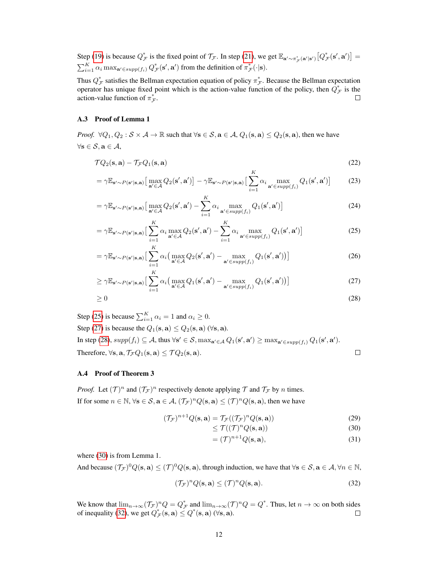Step [\(19\)](#page-10-5) is because  $Q^*_{\mathcal{F}}$  is the fixed point of  $\mathcal{T}_{\mathcal{F}}$ . In step [\(21\)](#page-10-6), we get  $\mathbb{E}_{\mathbf{a}' \sim \pi^*_{\mathcal{F}}(\mathbf{a}'|\mathbf{s}')} [Q^*_{\mathcal{F}}(\mathbf{s}', \mathbf{a}')] =$  $\sum_{i=1}^K \alpha_i \max_{\mathbf{a}' \in supp(f_i)} Q^*_{\mathcal{F}}(\mathbf{s}', \mathbf{a}')$  from the definition of  $\pi^*_{\mathcal{F}}(\cdot | \mathbf{s})$ .

Thus  $Q^*_{\mathcal{F}}$  satisfies the Bellman expectation equation of policy  $\pi^*_{\mathcal{F}}$ . Because the Bellman expectation operator has unique fixed point which is the action-value function of the policy, then  $Q^*_{\mathcal{F}}$  is the action-value function of  $\pi^*_{\mathcal{F}}$ .

#### A.3 Proof of Lemma 1

*Proof.*  $\forall Q_1, Q_2 : \mathcal{S} \times \mathcal{A} \rightarrow \mathbb{R}$  such that  $\forall s \in \mathcal{S}, a \in \mathcal{A}, Q_1(s, a) \leq Q_2(s, a)$ , then we have  $\forall$ s  $\in$   $S$ ,  $a \in A$ ,

$$
\mathcal{T}Q_2(\mathbf{s}, \mathbf{a}) - \mathcal{T}_{\mathcal{F}}Q_1(\mathbf{s}, \mathbf{a}) \tag{22}
$$

$$
= \gamma \mathbb{E}_{\mathbf{s}' \sim P(\mathbf{s}'|\mathbf{s}, \mathbf{a})} \big[ \max_{\mathbf{a}' \in \mathcal{A}} Q_2(\mathbf{s}', \mathbf{a}') \big] - \gamma \mathbb{E}_{\mathbf{s}' \sim P(\mathbf{s}'|\mathbf{s}, \mathbf{a})} \big[ \sum_{i=1}^n \alpha_i \max_{\mathbf{a}' \in \text{supp}(f_i)} Q_1(\mathbf{s}', \mathbf{a}') \big] \tag{23}
$$

$$
= \gamma \mathbb{E}_{\mathbf{s}' \sim P(\mathbf{s}'|\mathbf{s}, \mathbf{a})} \big[ \max_{\mathbf{a}' \in \mathcal{A}} Q_2(\mathbf{s}', \mathbf{a}') - \sum_{i=1}^K \alpha_i \max_{\mathbf{a}' \in \text{supp}(f_i)} Q_1(\mathbf{s}', \mathbf{a}') \big]
$$
(24)

$$
= \gamma \mathbb{E}_{\mathbf{s}' \sim P(\mathbf{s}'|\mathbf{s}, \mathbf{a})} \left[ \sum_{i=1}^{K} \alpha_i \max_{\mathbf{a}' \in \mathcal{A}} Q_2(\mathbf{s}', \mathbf{a}') - \sum_{i=1}^{K} \alpha_i \max_{\mathbf{a}' \in \text{supp}(f_i)} Q_1(\mathbf{s}', \mathbf{a}') \right]
$$
(25)

$$
= \gamma \mathbb{E}_{\mathbf{s}' \sim P(\mathbf{s}'|\mathbf{s}, \mathbf{a})} \Big[ \sum_{i=1}^{K} \alpha_i \big( \max_{\mathbf{a}' \in \mathcal{A}} Q_2(\mathbf{s}', \mathbf{a}') - \max_{\mathbf{a}' \in \text{supp}(f_i)} Q_1(\mathbf{s}', \mathbf{a}') \big) \Big]
$$
(26)

$$
\geq \gamma \mathbb{E}_{\mathbf{s}' \sim P(\mathbf{s}'|\mathbf{s}, \mathbf{a})} \big[ \sum_{i=1}^{K} \alpha_i \big( \max_{\mathbf{a}' \in \mathcal{A}} Q_1(\mathbf{s}', \mathbf{a}') - \max_{\mathbf{a}' \in \text{supp}(f_i)} Q_1(\mathbf{s}', \mathbf{a}') \big) \big]
$$
(27)

$$
\geq 0\tag{28}
$$

Step [\(25\)](#page-11-0) is because  $\sum_{i=1}^{K} \alpha_i = 1$  and  $\alpha_i \ge 0$ . Step [\(27\)](#page-11-1) is because the  $Q_1(\mathbf{s}, \mathbf{a}) \leq Q_2(\mathbf{s}, \mathbf{a})$  ( $\forall \mathbf{s}, \mathbf{a}$ ). In step [\(28\)](#page-11-2),  $supp(f_i) \subseteq A$ , thus  $\forall s' \in S$ ,  $max_{\mathbf{a}' \in A} Q_1(\mathbf{s}', \mathbf{a}') \ge max_{\mathbf{a}' \in supp(f_i)} Q_1(\mathbf{s}', \mathbf{a}')$ . Therefore,  $\forall$ **s**,  $\mathbf{a}$ ,  $\mathcal{T}_{\mathcal{F}}Q_1(\mathbf{s}, \mathbf{a}) \leq \mathcal{T}Q_2(\mathbf{s}, \mathbf{a})$ .  $\Box$ 

#### A.4 Proof of Theorem 3

*Proof.* Let  $(T)^n$  and  $(T^{\text{F}})^n$  respectively denote applying T and  $T^{\text{F}}$  by n times. If for some  $n \in \mathbb{N}$ ,  $\forall$ **s**  $\in \mathcal{S}$ ,  $\mathbf{a} \in \mathcal{A}$ ,  $(\mathcal{T}_{\mathcal{F}})^n Q(\mathbf{s}, \mathbf{a}) \leq (\mathcal{T})^n Q(\mathbf{s}, \mathbf{a})$ , then we have

$$
(\mathcal{T}_{\mathcal{F}})^{n+1} Q(\mathbf{s}, \mathbf{a}) = \mathcal{T}_{\mathcal{F}}((\mathcal{T}_{\mathcal{F}})^n Q(\mathbf{s}, \mathbf{a})) \tag{29}
$$

<span id="page-11-3"></span><span id="page-11-2"></span><span id="page-11-1"></span><span id="page-11-0"></span>
$$
\leq \mathcal{T}((\mathcal{T})^n Q(\mathbf{s}, \mathbf{a})) \tag{30}
$$

<span id="page-11-4"></span>
$$
= (\mathcal{T})^{n+1} Q(\mathbf{s}, \mathbf{a}), \tag{31}
$$

where [\(30\)](#page-11-3) is from Lemma 1.

And because  $(\mathcal{T}_{\mathcal{F}})^0 Q(\mathbf{s}, \mathbf{a}) \leq (\mathcal{T})^0 Q(\mathbf{s}, \mathbf{a})$ , through induction, we have that  $\forall \mathbf{s} \in \mathcal{S}, \mathbf{a} \in \mathcal{A}, \forall n \in \mathbb{N}$ ,

$$
(\mathcal{T}_{\mathcal{F}})^n Q(\mathbf{s}, \mathbf{a}) \le (\mathcal{T})^n Q(\mathbf{s}, \mathbf{a}).\tag{32}
$$

We know that  $\lim_{n\to\infty} (\mathcal{T}_{\mathcal{F}})^n Q = Q_{\mathcal{F}}^*$  and  $\lim_{n\to\infty} (\mathcal{T})^n Q = Q^*$ . Thus, let  $n\to\infty$  on both sides of inequality [\(32\)](#page-11-4), we get  $Q^*_{\mathcal{F}}(\mathbf{s}, \mathbf{a}) \le Q^*(\mathbf{s}, \mathbf{a})$  ( $\forall \mathbf{s}, \mathbf{a}$ ).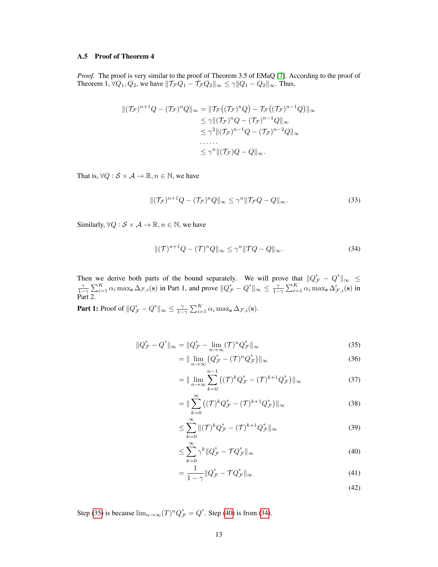#### A.5 Proof of Theorem 4

*Proof.* The proof is very similar to the proof of Theorem 3.5 of EMaQ [\[7\]](#page-8-6). According to the proof of Theorem 1,  $\forall Q_1, Q_2$ , we have  $\|\mathcal{T}_{\mathcal{F}} Q_1 - \mathcal{T}_{\mathcal{F}} Q_2\|_{\infty} \leq \gamma \|Q_1 - Q_2\|_{\infty}$ . Thus,

$$
\begin{aligned} ||(\mathcal{T}_{\mathcal{F}})^{n+1}Q - (\mathcal{T}_{\mathcal{F}})^nQ||_{\infty} &= ||\mathcal{T}_{\mathcal{F}}((\mathcal{T}_{\mathcal{F}})^nQ) - \mathcal{T}_{\mathcal{F}}((\mathcal{T}_{\mathcal{F}})^{n-1}Q)||_{\infty} \\ &\leq \gamma ||(\mathcal{T}_{\mathcal{F}})^nQ - (\mathcal{T}_{\mathcal{F}})^{n-1}Q||_{\infty} \\ &\leq \gamma^2 ||(\mathcal{T}_{\mathcal{F}})^{n-1}Q - (\mathcal{T}_{\mathcal{F}})^{n-2}Q||_{\infty} \\ &\dots \\ &\leq \gamma^n ||(\mathcal{T}_{\mathcal{F}})Q - Q||_{\infty} .\end{aligned}
$$

That is,  $\forall Q : \mathcal{S} \times \mathcal{A} \rightarrow \mathbb{R}, n \in \mathbb{N}$ , we have

$$
\|(\mathcal{T}_\mathcal{F})^{n+1}Q - (\mathcal{T}_\mathcal{F})^nQ\|_\infty \le \gamma^n \|\mathcal{T}_\mathcal{F}Q - Q\|_\infty. \tag{33}
$$

Similarly,  $\forall Q : S \times A \rightarrow \mathbb{R}, n \in \mathbb{N}$ , we have

<span id="page-12-2"></span>
$$
\|(\mathcal{T})^{n+1}Q - (\mathcal{T})^nQ\|_{\infty} \le \gamma^n \|\mathcal{T}Q - Q\|_{\infty}.
$$
\n(34)

Then we derive both parts of the bound separately. We will prove that  $||Q^*_{\mathcal{F}} - Q^*||_{\infty} \le \frac{\gamma}{1-\gamma} \sum_{i=1}^K \alpha_i \max_{\mathbf{s}} \Delta_{\mathcal{F},i}(\mathbf{s})$  in Part 1, and prove  $||Q^*_{\mathcal{F}} - Q^*||_{\infty} \le \frac{\gamma}{1-\gamma} \sum_{i=1}^K \alpha_i \max_{\mathbf{s}} \Delta_{\mathcal$ Part 2.

**Part 1:** Proof of  $||Q^*_{\mathcal{F}} - Q^*||_{\infty} \le \frac{\gamma}{1-\gamma} \sum_{i=1}^K \alpha_i \max_{\mathbf{s}} \Delta_{\mathcal{F},i}(\mathbf{s}).$ 

$$
||Q_{\mathcal{F}}^* - Q^*||_{\infty} = ||Q_{\mathcal{F}}^* - \lim_{n \to \infty} (\mathcal{T})^n Q_{\mathcal{F}}^*||_{\infty}
$$
\n(35)

$$
= \|\lim_{n \to \infty} \left(Q_{\mathcal{F}}^* - (\mathcal{T})^n Q_{\mathcal{F}}^*\right)\|_{\infty} \tag{36}
$$

$$
= \|\lim_{n \to \infty} \sum_{k=0}^{n-1} \left( (\mathcal{T})^k Q_{\mathcal{F}}^* - (\mathcal{T})^{k+1} Q_{\mathcal{F}}^* \right) \|_{\infty} \tag{37}
$$

$$
= \|\sum_{k=0}^{\infty} \left( (\mathcal{T})^k Q_{\mathcal{F}}^* - (\mathcal{T})^{k+1} Q_{\mathcal{F}}^* \right) \|_{\infty} \tag{38}
$$

$$
\leq \sum_{k=0}^{\infty} \|(\mathcal{T})^k Q_{\mathcal{F}}^* - (\mathcal{T})^{k+1} Q_{\mathcal{F}}^*\|_{\infty} \tag{39}
$$

$$
\leq \sum_{k=0}^{\infty} \gamma^k \| Q_{\mathcal{F}}^* - \mathcal{T} Q_{\mathcal{F}}^* \|_{\infty} \tag{40}
$$

$$
=\frac{1}{1-\gamma}||Q_{\mathcal{F}}^* - \mathcal{T}Q_{\mathcal{F}}^*||_{\infty} \tag{41}
$$

<span id="page-12-1"></span><span id="page-12-0"></span>(42)

Step [\(35\)](#page-12-0) is because  $\lim_{n\to\infty} (T)^n Q_{\mathcal{F}}^* = Q^*$ . Step [\(40\)](#page-12-1) is from [\(34\)](#page-12-2).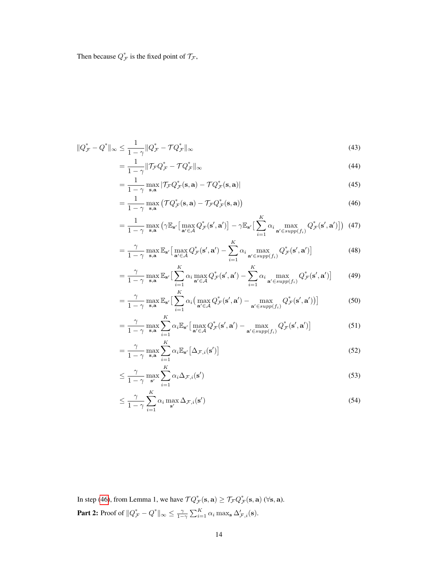Then because  $Q_{\mathcal{F}}^*$  is the fixed point of  $\mathcal{T}_{\mathcal{F}}$ ,

$$
||Q_{\mathcal{F}}^* - Q^*||_{\infty} \le \frac{1}{1 - \gamma} ||Q_{\mathcal{F}}^* - \mathcal{T}Q_{\mathcal{F}}^*||_{\infty}
$$
\n(43)

$$
=\frac{1}{1-\gamma} \|\mathcal{T}_{\mathcal{F}} Q_{\mathcal{F}}^* - \mathcal{T} Q_{\mathcal{F}}^*\|_{\infty} \tag{44}
$$

<span id="page-13-0"></span>
$$
= \frac{1}{1-\gamma} \max_{\mathbf{s}, \mathbf{a}} |\mathcal{T}_{\mathcal{F}} Q_{\mathcal{F}}^*(\mathbf{s}, \mathbf{a}) - \mathcal{T} Q_{\mathcal{F}}^*(\mathbf{s}, \mathbf{a})|
$$
(45)

$$
= \frac{1}{1-\gamma} \max_{\mathbf{s}, \mathbf{a}} \left( \mathcal{T} Q_{\mathcal{F}}^*(\mathbf{s}, \mathbf{a}) - \mathcal{T}_{\mathcal{F}} Q_{\mathcal{F}}^*(\mathbf{s}, \mathbf{a}) \right)
$$
(46)

$$
= \frac{1}{1-\gamma} \max_{\mathbf{s}, \mathbf{a}} \left( \gamma \mathbb{E}_{\mathbf{s}'} \big[ \max_{\mathbf{a}' \in \mathcal{A}} Q_{\mathcal{F}}^*(\mathbf{s}', \mathbf{a}') \big] - \gamma \mathbb{E}_{\mathbf{s}'} \big[ \sum_{i=1}^K \alpha_i \max_{\mathbf{a}' \in \text{supp}(f_i)} Q_{\mathcal{F}}^*(\mathbf{s}', \mathbf{a}') \big] \right) (47)
$$

$$
= \frac{\gamma}{1-\gamma} \max_{\mathbf{s},\mathbf{a}} \mathbb{E}_{\mathbf{s}'} \big[ \max_{\mathbf{a}' \in \mathcal{A}} Q_{\mathcal{F}}^*(\mathbf{s}',\mathbf{a}') - \sum_{i=1}^K \alpha_i \max_{\mathbf{a}' \in \text{supp}(f_i)} Q_{\mathcal{F}}^*(\mathbf{s}',\mathbf{a}') \big]
$$
(48)

$$
= \frac{\gamma}{1-\gamma} \max_{\mathbf{s}, \mathbf{a}} \mathbb{E}_{\mathbf{s}'} \big[ \sum_{i=1}^{K} \alpha_i \max_{\mathbf{a}' \in \mathcal{A}} Q_{\mathcal{F}}^*(\mathbf{s}', \mathbf{a}') - \sum_{i=1}^{K} \alpha_i \max_{\mathbf{a}' \in \text{supp}(f_i)} Q_{\mathcal{F}}^*(\mathbf{s}', \mathbf{a}') \big] \qquad (49)
$$

$$
= \frac{\gamma}{1-\gamma} \max_{\mathbf{s}, \mathbf{a}} \mathbb{E}_{\mathbf{s}'} \big[ \sum_{i=1}^{K} \alpha_i \big( \max_{\mathbf{a}' \in \mathcal{A}} Q_{\mathcal{F}}^*(\mathbf{s}', \mathbf{a}') - \max_{\mathbf{a}' \in \text{supp}(f_i)} Q_{\mathcal{F}}^*(\mathbf{s}', \mathbf{a}') \big) \big]
$$
(50)

$$
= \frac{\gamma}{1-\gamma} \max_{\mathbf{s},\mathbf{a}} \sum_{i=1}^{K} \alpha_i \mathbb{E}_{\mathbf{s}'} \big[ \max_{\mathbf{a}' \in \mathcal{A}} Q_{\mathcal{F}}^*(\mathbf{s}',\mathbf{a}') - \max_{\mathbf{a}' \in \text{supp}(f_i)} Q_{\mathcal{F}}^*(\mathbf{s}',\mathbf{a}') \big]
$$
(51)

$$
= \frac{\gamma}{1-\gamma} \max_{\mathbf{s},\mathbf{a}} \sum_{i=1}^{K} \alpha_i \mathbb{E}_{\mathbf{s}'} \left[ \Delta_{\mathcal{F},i}(\mathbf{s}') \right]
$$
(52)

$$
\leq \frac{\gamma}{1-\gamma} \max_{\mathbf{s}'} \sum_{i=1}^{K} \alpha_i \Delta_{\mathcal{F},i}(\mathbf{s'}) \tag{53}
$$

$$
\leq \frac{\gamma}{1-\gamma} \sum_{i=1}^{K} \alpha_i \max_{\mathbf{s}'} \Delta_{\mathcal{F},i}(\mathbf{s}') \tag{54}
$$

In step [\(46\)](#page-13-0), from Lemma 1, we have  $\mathcal{T} Q^*_{\mathcal{F}}(\mathbf{s}, \mathbf{a}) \ge \mathcal{T}_{\mathcal{F}} Q^*_{\mathcal{F}}(\mathbf{s}, \mathbf{a})$  ( $\forall \mathbf{s}, \mathbf{a}$ ). **Part 2:** Proof of  $||Q^*_{\mathcal{F}} - Q^*||_{\infty} \le \frac{\gamma}{1-\gamma} \sum_{i=1}^K \alpha_i \max_{\mathbf{s}} \Delta'_{\mathcal{F},i}(\mathbf{s}).$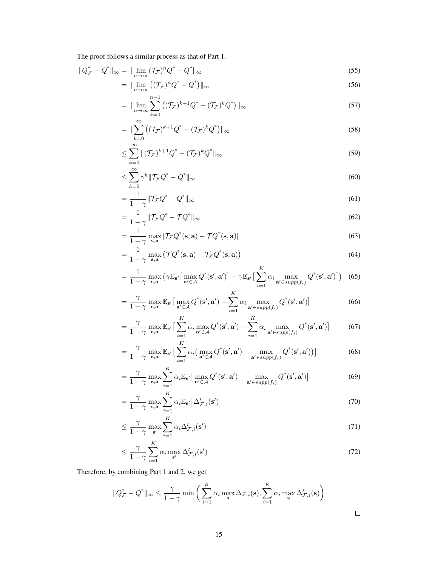The proof follows a similar process as that of Part 1.

$$
||Q_{\mathcal{F}}^* - Q^*||_{\infty} = ||\lim_{n \to \infty} (\mathcal{T}_{\mathcal{F}})^n Q^* - Q^*||_{\infty}
$$
\n
$$
(55)
$$

$$
= \|\lim_{n \to \infty} \left( (\mathcal{T}_{\mathcal{F}})^n Q^* - Q^* \right) \|_{\infty} \tag{56}
$$

$$
= \|\lim_{n \to \infty} \sum_{k=0}^{n-1} \left( (\mathcal{T}_{\mathcal{F}})^{k+1} Q^* - (\mathcal{T}_{\mathcal{F}})^k Q^* \right) \|_{\infty}
$$
\n(57)

$$
= \|\sum_{k=0}^{\infty} \left( (\mathcal{T}_{\mathcal{F}})^{k+1} Q^* - (\mathcal{T}_{\mathcal{F}})^k Q^* \right) \|_{\infty}
$$
\n(58)

$$
\leq \sum_{k=0}^{\infty} \|(\mathcal{T}_{\mathcal{F}})^{k+1} Q^* - (\mathcal{T}_{\mathcal{F}})^k Q^*\|_{\infty} \tag{59}
$$

$$
\leq \sum_{k=0}^{\infty} \gamma^k \| \mathcal{T}_{\mathcal{F}} Q^* - Q^* \|_{\infty} \tag{60}
$$

$$
=\frac{1}{1-\gamma} \|\mathcal{T}_{\mathcal{F}}Q^* - Q^*\|_{\infty} \tag{61}
$$

$$
=\frac{1}{1-\gamma} \|\mathcal{T}_{\mathcal{F}}Q^* - \mathcal{T}Q^*\|_{\infty} \tag{62}
$$

$$
= \frac{1}{1-\gamma} \max_{\mathbf{s}, \mathbf{a}} |\mathcal{T}_{\mathcal{F}} Q^*(\mathbf{s}, \mathbf{a}) - \mathcal{T} Q^*(\mathbf{s}, \mathbf{a})|
$$
(63)

$$
= \frac{1}{1-\gamma} \max_{\mathbf{s}, \mathbf{a}} (\mathcal{T}Q^*(\mathbf{s}, \mathbf{a}) - \mathcal{T}_{\mathcal{F}}Q^*(\mathbf{s}, \mathbf{a}))
$$
(64)

$$
= \frac{1}{1-\gamma} \max_{\mathbf{s}, \mathbf{a}} \left( \gamma \mathbb{E}_{\mathbf{s}'} \big[ \max_{\mathbf{a}' \in \mathcal{A}} Q^*(\mathbf{s}', \mathbf{a}') \big] - \gamma \mathbb{E}_{\mathbf{s}'} \big[ \sum_{i=1}^K \alpha_i \max_{\mathbf{a}' \in supp(f_i)} Q^*(\mathbf{s}', \mathbf{a}') \big] \right) \tag{65}
$$

$$
= \frac{\gamma}{1-\gamma} \max_{\mathbf{s}, \mathbf{a}} \mathbb{E}_{\mathbf{s}'} \big[ \max_{\mathbf{a}' \in \mathcal{A}} Q^*(\mathbf{s}', \mathbf{a}') - \sum_{i=1}^K \alpha_i \max_{\mathbf{a}' \in \text{supp}(f_i)} Q^*(\mathbf{s}', \mathbf{a}') \big]
$$
(66)

$$
= \frac{\gamma}{1-\gamma} \max_{\mathbf{s}, \mathbf{a}} \mathbb{E}_{\mathbf{s}'} \big[ \sum_{i=1}^{K} \alpha_i \max_{\mathbf{a'} \in \mathcal{A}} Q^*(\mathbf{s'}, \mathbf{a'}) - \sum_{i=1}^{K} \alpha_i \max_{\mathbf{a'} \in \text{supp}(f_i)} Q^*(\mathbf{s'}, \mathbf{a'}) \big]
$$
(67)

$$
= \frac{\gamma}{1-\gamma} \max_{\mathbf{s},\mathbf{a}} \mathbb{E}_{\mathbf{s}'} \big[ \sum_{i=1}^{K} \alpha_i \big( \max_{\mathbf{a}' \in \mathcal{A}} Q^*(\mathbf{s}',\mathbf{a}') - \max_{\mathbf{a}' \in \text{supp}(f_i)} Q^*(\mathbf{s}',\mathbf{a}') \big) \big]
$$
(68)

$$
= \frac{\gamma}{1-\gamma} \max_{\mathbf{s},\mathbf{a}} \sum_{i=1}^{K} \alpha_i \mathbb{E}_{\mathbf{s}'} \big[ \max_{\mathbf{a}' \in \mathcal{A}} Q^*(\mathbf{s}',\mathbf{a}') - \max_{\mathbf{a}' \in \text{supp}(f_i)} Q^*(\mathbf{s}',\mathbf{a}') \big]
$$
(69)

$$
= \frac{\gamma}{1-\gamma} \max_{\mathbf{s}, \mathbf{a}} \sum_{i=1}^{K} \alpha_i \mathbb{E}_{\mathbf{s}'} \big[ \Delta_{\mathcal{F}, i}'(\mathbf{s}') \big]
$$
(70)

$$
\leq \frac{\gamma}{1-\gamma} \max_{\mathbf{s}'} \sum_{i=1}^{K} \alpha_i \Delta_{\mathcal{F},i}'(\mathbf{s}') \tag{71}
$$

$$
\leq \frac{\gamma}{1-\gamma} \sum_{i=1}^{K} \alpha_i \max_{\mathbf{s}'} \Delta_{\mathcal{F},i}'(\mathbf{s}') \tag{72}
$$

Therefore, by combining Part 1 and 2, we get

$$
||Q_{\mathcal{F}}^* - Q^*||_{\infty} \le \frac{\gamma}{1-\gamma} \min \left( \sum_{i=1}^K \alpha_i \max_{\mathbf{s}} \Delta_{\mathcal{F},i}(\mathbf{s}), \sum_{i=1}^K \alpha_i \max_{\mathbf{s}} \Delta_{\mathcal{F},i}'(\mathbf{s}) \right)
$$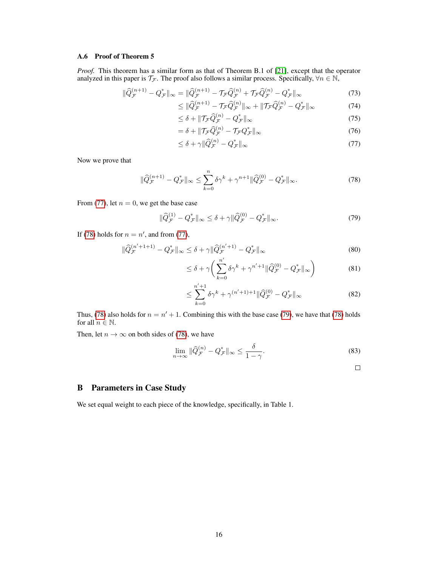# A.6 Proof of Theorem 5

*Proof.* This theorem has a similar form as that of Theorem B.1 of [\[21\]](#page-9-3), except that the operator analyzed in this paper is  $\mathcal{T}_{\mathcal{F}}$ . The proof also follows a similar process. Specifically,  $\forall n \in \mathbb{N}$ ,

$$
\|\hat{Q}_{\mathcal{F}}^{(n+1)} - Q_{\mathcal{F}}^*\|_{\infty} = \|\hat{Q}_{\mathcal{F}}^{(n+1)} - \mathcal{T}_{\mathcal{F}}\hat{Q}_{\mathcal{F}}^{(n)} + \mathcal{T}_{\mathcal{F}}\hat{Q}_{\mathcal{F}}^{(n)} - Q_{\mathcal{F}}^*\|_{\infty}
$$
\n(73)

$$
\leq \|\widehat{Q}_{\mathcal{F}}^{(n+1)} - \mathcal{T}_{\mathcal{F}}\widehat{Q}_{\mathcal{F}}^{(n)}\|_{\infty} + \|\mathcal{T}_{\mathcal{F}}\widehat{Q}_{\mathcal{F}}^{(n)} - Q_{\mathcal{F}}^{*}\|_{\infty} \tag{74}
$$

$$
\leq \delta + \|\mathcal{T}_{\mathcal{F}}\hat{Q}_{\mathcal{F}}^{(n)} - Q_{\mathcal{F}}^*\|_{\infty} \tag{75}
$$

$$
= \delta + \| \mathcal{T}_{\mathcal{F}} \hat{Q}_{\mathcal{F}}^{(n)} - \mathcal{T}_{\mathcal{F}} Q_{\mathcal{F}}^* \|_{\infty} \tag{76}
$$

<span id="page-15-1"></span><span id="page-15-0"></span>
$$
\leq \delta + \gamma \|\widehat{Q}_{\mathcal{F}}^{(n)} - Q_{\mathcal{F}}^*\|_{\infty} \tag{77}
$$

Now we prove that

$$
\|\widehat{Q}_{\mathcal{F}}^{(n+1)} - Q_{\mathcal{F}}^*\|_{\infty} \le \sum_{k=0}^n \delta \gamma^k + \gamma^{n+1} \|\widehat{Q}_{\mathcal{F}}^{(0)} - Q_{\mathcal{F}}^*\|_{\infty}.
$$
\n(78)

From [\(77\)](#page-15-0), let  $n = 0$ , we get the base case

$$
\|\hat{Q}_{\mathcal{F}}^{(1)} - Q_{\mathcal{F}}^*\|_{\infty} \le \delta + \gamma \|\hat{Q}_{\mathcal{F}}^{(0)} - Q_{\mathcal{F}}^*\|_{\infty}.
$$
\n(79)

If [\(78\)](#page-15-1) holds for  $n = n'$ , and from [\(77\)](#page-15-0),

$$
\|\hat{Q}_{\mathcal{F}}^{(n'+1+1)} - Q_{\mathcal{F}}^*\|_{\infty} \le \delta + \gamma \|\hat{Q}_{\mathcal{F}}^{(n'+1)} - Q_{\mathcal{F}}^*\|_{\infty}
$$
\n(80)

$$
\leq \delta + \gamma \bigg( \sum_{k=0}^{n'} \delta \gamma^k + \gamma^{n'+1} ||\widehat{Q}_{\mathcal{F}}^{(0)} - Q_{\mathcal{F}}^*||_{\infty} \bigg) \tag{81}
$$

$$
\leq \sum_{k=0}^{n'+1} \delta \gamma^k + \gamma^{(n'+1)+1} \|\widehat{Q}_{\mathcal{F}}^{(0)} - Q_{\mathcal{F}}^*\|_{\infty} \tag{82}
$$

Thus, [\(78\)](#page-15-1) also holds for  $n = n' + 1$ . Combining this with the base case [\(79\)](#page-15-2), we have that (78) holds for all  $n\in\mathbb{N}.$ 

Then, let  $n \to \infty$  on both sides of [\(78\)](#page-15-1), we have

$$
\lim_{n \to \infty} \|\widehat{Q}_{\mathcal{F}}^{(n)} - Q_{\mathcal{F}}^*\|_{\infty} \le \frac{\delta}{1 - \gamma}.
$$
\n(83)

<span id="page-15-2"></span> $\Box$ 

# B Parameters in Case Study

We set equal weight to each piece of the knowledge, specifically, in Table 1.